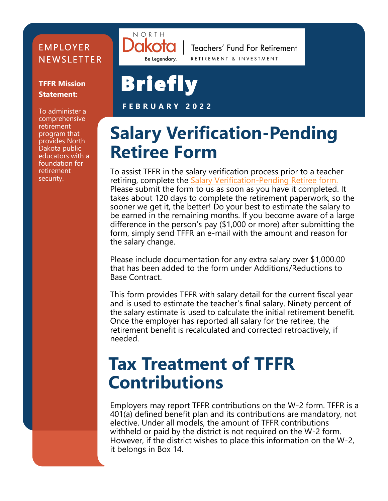#### **EMPLOYER NEWSLETTER**

#### **TFFR Mission Statement:**

To administer a comprehensive retirement program that provides North Dakota public educators with a foundation for retirement security.



Teachers' Fund For Retirement RETIREMENT & INVESTMENT

# **Briefly**

**F E B R U A R Y 2 0 2 2**

#### **Salary Verification-Pending Retiree Form**

To assist TFFR in the salary verification process prior to a teacher retiring, complete the Salary Verification-[Pending Retiree form.](https://www.rio.nd.gov/sites/www/files/documents/PDFs/TFFR/Forms/tffrformsalaryverification.pdf)  Please submit the form to us as soon as you have it completed. It takes about 120 days to complete the retirement paperwork, so the sooner we get it, the better! Do your best to estimate the salary to be earned in the remaining months. If you become aware of a large difference in the person's pay (\$1,000 or more) after submitting the form, simply send TFFR an e-mail with the amount and reason for the salary change.

Please include documentation for any extra salary over \$1,000.00 that has been added to the form under Additions/Reductions to Base Contract.

This form provides TFFR with salary detail for the current fiscal year and is used to estimate the teacher's final salary. Ninety percent of the salary estimate is used to calculate the initial retirement benefit. Once the employer has reported all salary for the retiree, the retirement benefit is recalculated and corrected retroactively, if needed.

#### **Tax Treatment of TFFR Contributions**

Employers may report TFFR contributions on the W-2 form. TFFR is a 401(a) defined benefit plan and its contributions are mandatory, not elective. Under all models, the amount of TFFR contributions withheld or paid by the district is not required on the W-2 form. However, if the district wishes to place this information on the W-2, it belongs in Box 14.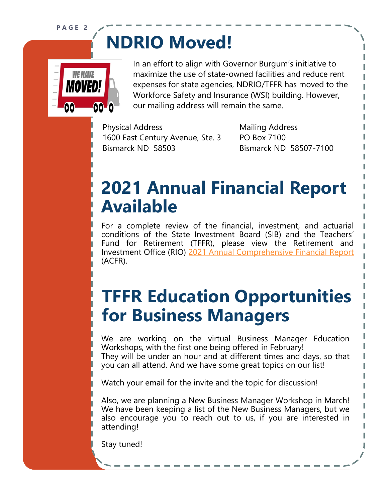**P A G E 2**

### **NDRIO Moved!**



In an effort to align with Governor Burgum's initiative to maximize the use of state-owned facilities and reduce rent expenses for state agencies, NDRIO/TFFR has moved to the Workforce Safety and Insurance (WSI) building. However, our mailing address will remain the same.

Physical Address Mailing Address 1600 East Century Avenue, Ste. 3 PO Box 7100 Bismarck ND 58503 Bismarck ND 58507-7100

#### **2021 Annual Financial Report Available**

For a complete review of the financial, investment, and actuarial conditions of the State Investment Board (SIB) and the Teachers' Fund for Retirement (TFFR), please view the Retirement and Investment Office (RIO) [2021 Annual Comprehensive Financial Report](https://www.rio.nd.gov/sites/www/files/documents/PDFs/RIO/Reports/annualreport2021.pdf) (ACFR).

#### **TFFR Education Opportunities for Business Managers**

We are working on the virtual Business Manager Education Workshops, with the first one being offered in February! They will be under an hour and at different times and days, so that you can all attend. And we have some great topics on our list!

Watch your email for the invite and the topic for discussion!

Also, we are planning a New Business Manager Workshop in March! We have been keeping a list of the New Business Managers, but we also encourage you to reach out to us, if you are interested in attending!

Stay tuned!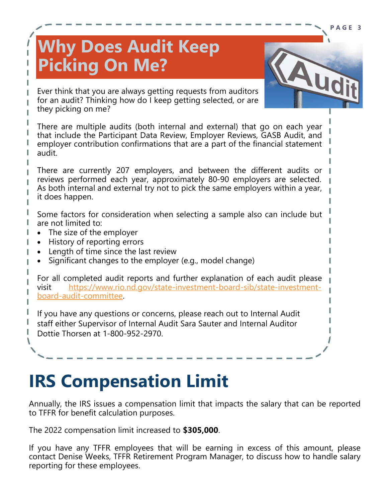#### **Why Does Audit Keep Picking On Me?**



**P A G E 3**

Ever think that you are always getting requests from auditors for an audit? Thinking how do I keep getting selected, or are they picking on me?

There are multiple audits (both internal and external) that go on each year that include the Participant Data Review, Employer Reviews, GASB Audit, and employer contribution confirmations that are a part of the financial statement audit.

There are currently 207 employers, and between the different audits or reviews performed each year, approximately 80-90 employers are selected. As both internal and external try not to pick the same employers within a year, it does happen.

Some factors for consideration when selecting a sample also can include but are not limited to:

- The size of the employer
- History of reporting errors
- Length of time since the last review
- Significant changes to the employer (e.g., model change)

For all completed audit reports and further explanation of each audit please visit [https://www.rio.nd.gov/state](https://www.rio.nd.gov/state-investment-board-sib/state-investment-board-audit-committee)-investment-board-sib/state-investmentboard-audit-[committee.](https://www.rio.nd.gov/state-investment-board-sib/state-investment-board-audit-committee)

If you have any questions or concerns, please reach out to Internal Audit staff either Supervisor of Internal Audit Sara Sauter and Internal Auditor Dottie Thorsen at 1-800-952-2970.

#### **IRS Compensation Limit**

Annually, the IRS issues a compensation limit that impacts the salary that can be reported to TFFR for benefit calculation purposes.

The 2022 compensation limit increased to **\$305,000**.

If you have any TFFR employees that will be earning in excess of this amount, please contact Denise Weeks, TFFR Retirement Program Manager, to discuss how to handle salary reporting for these employees.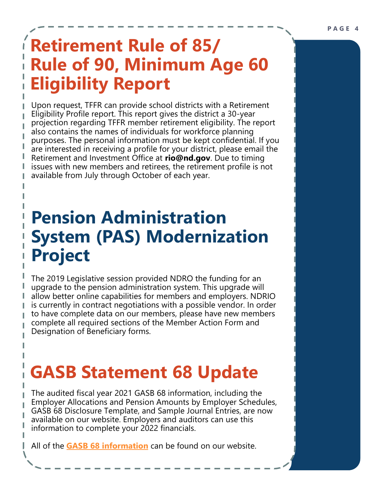### **Retirement Rule of 85/ Rule of 90, Minimum Age 60 Eligibility Report**

Upon request, TFFR can provide school districts with a Retirement Eligibility Profile report. This report gives the district a 30-year projection regarding TFFR member retirement eligibility. The report also contains the names of individuals for workforce planning purposes. The personal information must be kept confidential. If you are interested in receiving a profile for your district, please email the Retirement and Investment Office at **rio@nd.gov**. Due to timing issues with new members and retirees, the retirement profile is not available from July through October of each year.

#### **Pension Administration System (PAS) Modernization Project**

The 2019 Legislative session provided NDRO the funding for an upgrade to the pension administration system. This upgrade will allow better online capabilities for members and employers. NDRIO is currently in contract negotiations with a possible vendor. In order to have complete data on our members, please have new members complete all required sections of the Member Action Form and Designation of Beneficiary forms.

### **GASB Statement 68 Update**

The audited fiscal year 2021 GASB 68 information, including the Employer Allocations and Pension Amounts by Employer Schedules, GASB 68 Disclosure Template, and Sample Journal Entries, are now available on our website. Employers and auditors can use this information to complete your 2022 financials.

All of the **[GASB 68 information](https://www.rio.nd.gov/teachers-fund-retirement-employers)** can be found on our website.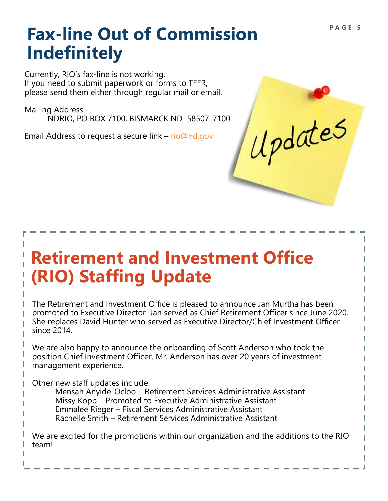#### **Fax-line Out of Commission Indefinitely**

Currently, RIO's fax-line is not working. If you need to submit paperwork or forms to TFFR, please send them either through regular mail or email.

Mailing Address – NDRIO, PO BOX 7100, BISMARCK ND 58507-7100

Email Address to request a secure link – [rio@nd.gov](mailto:rio@nd.gov)

### **Retirement and Investment Office (RIO) Staffing Update**

The Retirement and Investment Office is pleased to announce Jan Murtha has been promoted to Executive Director. Jan served as Chief Retirement Officer since June 2020. She replaces David Hunter who served as Executive Director/Chief Investment Officer since 2014.

We are also happy to announce the onboarding of Scott Anderson who took the position Chief Investment Officer. Mr. Anderson has over 20 years of investment management experience.

Other new staff updates include:

Mensah Anyide-Ocloo – Retirement Services Administrative Assistant Missy Kopp – Promoted to Executive Administrative Assistant Emmalee Rieger – Fiscal Services Administrative Assistant Rachelle Smith – Retirement Services Administrative Assistant

We are excited for the promotions within our organization and the additions to the RIO team!

Updates